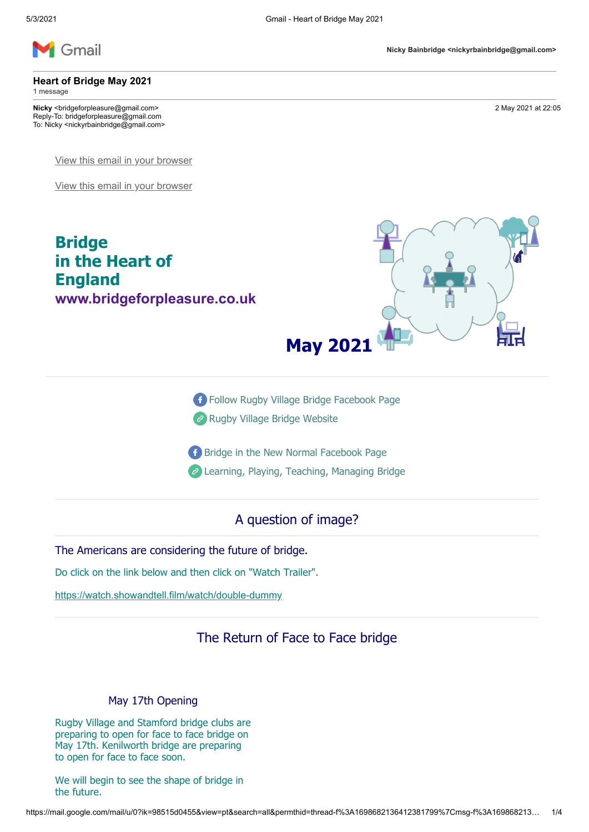

**Heart of Bridge May 2021**

**Bridge** 

**England**

1 message

**Nicky** <bridgeforpleasure@gmail.com> 2 May 2021 at 22:05 Reply-To: bridgeforpleasure@gmail.com To: Nicky <nickyrbainbridge@gmail.com>

[View this email in your browser](https://mailchi.mp/6893ba6459b3/heart-of-bridge-may-2021?e=7736085cbd)

[View this email in your browser](https://mailchi.mp/6893ba6459b3/heart-of-bridge-may-2021?e=7736085cbd)

**in the Heart of**

**[www.bridgeforpleasure.co.uk](http://www.bridgeforpleasure.co.uk/)** 

**May 2021**

[Follow Rugby Village Bridge Facebook Page](https://rugbyvillagebridge.us16.list-manage.com/track/click?u=5ca90c1560213b9616359b892&id=6cf3b45f09&e=7736085cbd)

- **P** [Rugby Village Bridge Website](https://rugbyvillagebridge.us16.list-manage.com/track/click?u=5ca90c1560213b9616359b892&id=70e452141b&e=7736085cbd)
- [Bridge in the New Normal Facebook Page](https://rugbyvillagebridge.us16.list-manage.com/track/click?u=5ca90c1560213b9616359b892&id=7133b336ff&e=7736085cbd)
- [Learning, Playing, Teaching, Managing Bridge](https://rugbyvillagebridge.us16.list-manage.com/track/click?u=5ca90c1560213b9616359b892&id=7babfd3caf&e=7736085cbd)

## A question of image?

The Americans are considering the future of bridge.

Do click on the link below and then click on "Watch Trailer".

[https://watch.showandtell.film/watch/double-dummy](https://rugbyvillagebridge.us16.list-manage.com/track/click?u=5ca90c1560213b9616359b892&id=beed5d3aaa&e=7736085cbd)

## The Return of Face to Face bridge

### May 17th Opening

Rugby Village and Stamford bridge clubs are preparing to open for face to face bridge on May 17th. Kenilworth bridge are preparing to open for face to face soon.

We will begin to see the shape of bridge in the future.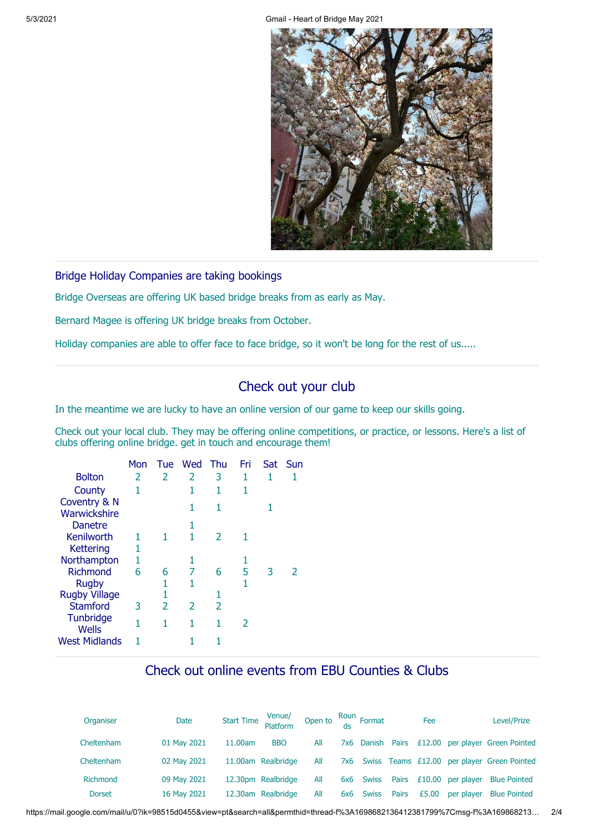5/3/2021 Gmail - Heart of Bridge May 2021



Bridge Holiday Companies are taking bookings

Bridge Overseas are offering UK based bridge breaks from as early as May.

Bernard Magee is offering UK bridge breaks from October.

Holiday companies are able to offer face to face bridge, so it won't be long for the rest of us.....

# Check out your club

In the meantime we are lucky to have an online version of our game to keep our skills going.

Check out your local club. They may be offering online competitions, or practice, or lessons. Here's a list of clubs offering online bridge. get in touch and encourage them!

|                      | Mon |   | Tue Wed | Thu | Fri | Sat | Sun |
|----------------------|-----|---|---------|-----|-----|-----|-----|
| <b>Bolton</b>        | 2   | 2 | 2       | 3   | 1   | 1   |     |
| County               | 1   |   | 1       | 1   | 1   |     |     |
| Coventry & N         |     |   | 1       | 1   |     |     |     |
| Warwickshire         |     |   |         |     |     |     |     |
| <b>Danetre</b>       |     |   | 1       |     |     |     |     |
| Kenilworth           | 1   |   | 1       | 2   |     |     |     |
| Kettering            | 1   |   |         |     |     |     |     |
| Northampton          | 1   |   | 1       |     |     |     |     |
| <b>Richmond</b>      | 6   | 6 | 7       | 6   | 5   | 3   | 2   |
| <b>Rugby</b>         |     | 1 | 1       |     | 1   |     |     |
| <b>Rugby Village</b> |     | 1 |         | 1   |     |     |     |
| <b>Stamford</b>      | 3   | 2 | 2       | 2   |     |     |     |
| Tunbridge            | 1   | 1 | 1       | 1   | 2   |     |     |
| <b>Wells</b>         |     |   |         |     |     |     |     |
| <b>West Midlands</b> |     |   |         |     |     |     |     |

## Check out online events from EBU Counties & Clubs

| Organiser       | Date        | Start Time<br>Platform |            | Open to $\frac{$ Roun Format |     |                  |       | Fee   |                     | Level/Prize                                 |
|-----------------|-------------|------------------------|------------|------------------------------|-----|------------------|-------|-------|---------------------|---------------------------------------------|
| Cheltenham      | 01 May 2021 | 11.00am                | <b>BBO</b> | All                          |     | 7x6 Danish Pairs |       |       |                     | £12.00 per player Green Pointed             |
| Cheltenham      | 02 May 2021 | 11.00am Realbridge     |            | All                          | 7x6 |                  |       |       |                     | Swiss Teams £12.00 per player Green Pointed |
| <b>Richmond</b> | 09 May 2021 | 12.30pm Realbridge     |            | All                          | 6x6 | <b>Swiss</b>     | Pairs |       | $£10.00$ per player | <b>Blue Pointed</b>                         |
| <b>Dorset</b>   | 16 May 2021 | 12.30am Realbridge     |            | All                          | 6x6 | <b>Swiss</b>     | Pairs | £5.00 | per player          | <b>Blue Pointed</b>                         |

https://mail.google.com/mail/u/0?ik=98515d0455&view=pt&search=all&permthid=thread-f%3A1698682136412381799%7Cmsg-f%3A169868213… 2/4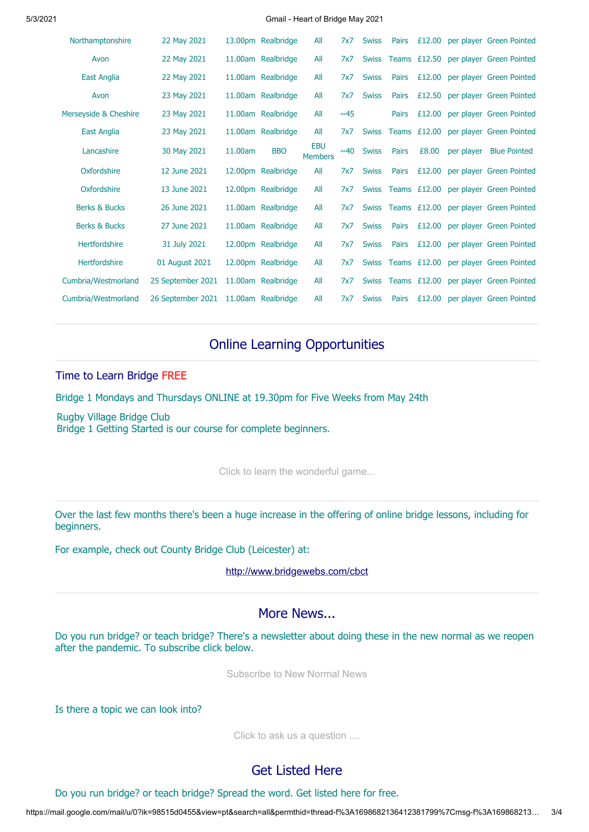#### 5/3/2021 Gmail - Heart of Bridge May 2021

| Northamptonshire         | 22 May 2021       |         | 13.00pm Realbridge | All                          | 7x7   | <b>Swiss</b> | <b>Pairs</b> | £12.00             |            | per player Green Pointed |
|--------------------------|-------------------|---------|--------------------|------------------------------|-------|--------------|--------------|--------------------|------------|--------------------------|
| Avon                     | 22 May 2021       |         | 11.00am Realbridge | All                          | 7x7   | <b>Swiss</b> |              | Teams £12.50       |            | per player Green Pointed |
| <b>East Anglia</b>       | 22 May 2021       |         | 11.00am Realbridge | All                          | 7x7   | <b>Swiss</b> | Pairs        | £12.00             |            | per player Green Pointed |
| Avon                     | 23 May 2021       |         | 11.00am Realbridge | All                          | 7x7   | <b>Swiss</b> | Pairs        | £12.50             |            | per player Green Pointed |
| Merseyside & Cheshire    | 23 May 2021       |         | 11.00am Realbridge | All                          | ~0.45 |              | Pairs        | £12.00             |            | per player Green Pointed |
| <b>East Anglia</b>       | 23 May 2021       |         | 11.00am Realbridge | All                          | 7x7   | <b>Swiss</b> |              | Teams $£12.00$     |            | per player Green Pointed |
| Lancashire               | 30 May 2021       | 11.00am | <b>BBO</b>         | <b>EBU</b><br><b>Members</b> | ~0.40 | <b>Swiss</b> | Pairs        | £8.00              | per player | <b>Blue Pointed</b>      |
| Oxfordshire              | 12 June 2021      |         | 12.00pm Realbridge | All                          | 7x7   | <b>Swiss</b> | Pairs        | £12.00             |            | per player Green Pointed |
| Oxfordshire              | 13 June 2021      |         | 12.00pm Realbridge | All                          | 7x7   | <b>Swiss</b> |              | Teams $£12.00$     |            | per player Green Pointed |
| <b>Berks &amp; Bucks</b> | 26 June 2021      |         | 11.00am Realbridge | All                          | 7x7   |              |              | Swiss Teams £12.00 |            | per player Green Pointed |
| <b>Berks &amp; Bucks</b> | 27 June 2021      |         | 11.00am Realbridge | All                          | 7x7   | <b>Swiss</b> | Pairs        | £12.00             |            | per player Green Pointed |
| <b>Hertfordshire</b>     | 31 July 2021      |         | 12.00pm Realbridge | All                          | 7x7   | <b>Swiss</b> | <b>Pairs</b> | £12.00             |            | per player Green Pointed |
| Hertfordshire            | 01 August 2021    |         | 12.00pm Realbridge | All                          | 7x7   | <b>Swiss</b> |              | Teams £12.00       |            | per player Green Pointed |
| Cumbria/Westmorland      | 25 September 2021 |         | 11.00am Realbridge | All                          | 7x7   | <b>Swiss</b> |              | Teams £12.00       |            | per player Green Pointed |
| Cumbria/Westmorland      | 26 September 2021 |         | 11.00am Realbridge | All                          | 7x7   | <b>Swiss</b> | Pairs        | £12.00             |            | per player Green Pointed |

# Online Learning Opportunities

#### Time to Learn Bridge FREE

Bridge 1 Mondays and Thursdays ONLINE at 19.30pm for Five Weeks from May 24th

Rugby Village Bridge Club Bridge 1 Getting Started is our course for complete beginners.

[Click to learn the wonderful game...](mailto:rugbyvillagebridge@gmail.com?subject=Online%20Bridge%201%20Getting%20Started&body=Please%20register%20me%20for%20the%20course.)

Over the last few months there's been a huge increase in the offering of online bridge lessons, including for beginners.

For example, check out County Bridge Club (Leicester) at:

[http://www.bridgewebs.com/cbct](https://rugbyvillagebridge.us16.list-manage.com/track/click?u=5ca90c1560213b9616359b892&id=ef731e9ca9&e=7736085cbd)

### More News...

Do you run bridge? or teach bridge? There's a newsletter about doing these in the new normal as we reopen after the pandemic. To subscribe click below.

[Subscribe to New Normal News](mailto:bridgeforpleasure@gmail.com?subject=Please%20send%20me%20the%20New%20Normal%20Newsletter&body=Please%20use%20the%20email%20address%20above.)

Is there a topic we can look into?

[Click to ask us a question ....](mailto:bridgeforpleasure@gmail.com?subject=I%20have%20a%20question...)

## Get Listed Here

Do you run bridge? or teach bridge? Spread the word. Get listed here for free.